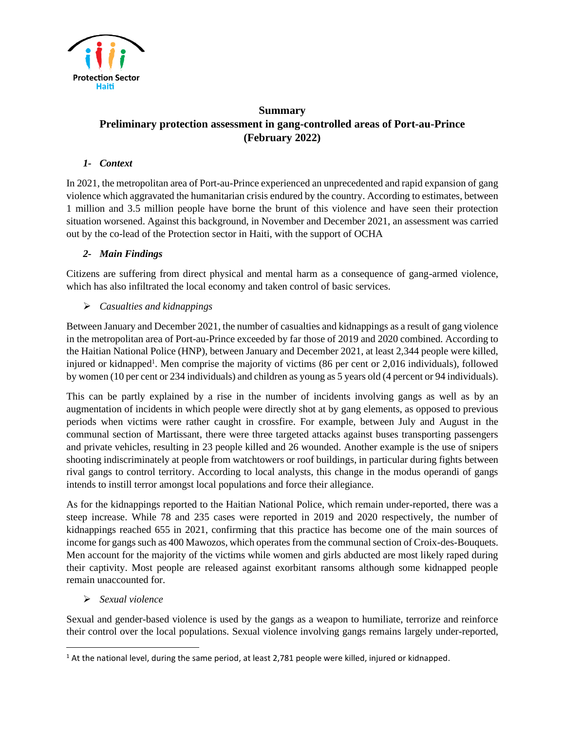

# **Summary Preliminary protection assessment in gang-controlled areas of Port-au-Prince (February 2022)**

# *1- Context*

In 2021, the metropolitan area of Port-au-Prince experienced an unprecedented and rapid expansion of gang violence which aggravated the humanitarian crisis endured by the country. According to estimates, between 1 million and 3.5 million people have borne the brunt of this violence and have seen their protection situation worsened. Against this background, in November and December 2021, an assessment was carried out by the co-lead of the Protection sector in Haiti, with the support of OCHA

# *2- Main Findings*

Citizens are suffering from direct physical and mental harm as a consequence of gang-armed violence, which has also infiltrated the local economy and taken control of basic services.

#### ➢ *Casualties and kidnappings*

Between January and December 2021, the number of casualties and kidnappings as a result of gang violence in the metropolitan area of Port-au-Prince exceeded by far those of 2019 and 2020 combined. According to the Haitian National Police (HNP), between January and December 2021, at least 2,344 people were killed, injured or kidnapped<sup>1</sup>. Men comprise the majority of victims (86 per cent or 2,016 individuals), followed by women (10 per cent or 234 individuals) and children as young as 5 years old (4 percent or 94 individuals).

This can be partly explained by a rise in the number of incidents involving gangs as well as by an augmentation of incidents in which people were directly shot at by gang elements, as opposed to previous periods when victims were rather caught in crossfire. For example, between July and August in the communal section of Martissant, there were three targeted attacks against buses transporting passengers and private vehicles, resulting in 23 people killed and 26 wounded. Another example is the use of snipers shooting indiscriminately at people from watchtowers or roof buildings, in particular during fights between rival gangs to control territory. According to local analysts, this change in the modus operandi of gangs intends to instill terror amongst local populations and force their allegiance.

As for the kidnappings reported to the Haitian National Police, which remain under-reported, there was a steep increase. While 78 and 235 cases were reported in 2019 and 2020 respectively, the number of kidnappings reached 655 in 2021, confirming that this practice has become one of the main sources of income for gangs such as 400 Mawozos, which operates from the communal section of Croix-des-Bouquets. Men account for the majority of the victims while women and girls abducted are most likely raped during their captivity. Most people are released against exorbitant ransoms although some kidnapped people remain unaccounted for.

#### ➢ *Sexual violence*

Sexual and gender-based violence is used by the gangs as a weapon to humiliate, terrorize and reinforce their control over the local populations. Sexual violence involving gangs remains largely under-reported,

<sup>&</sup>lt;sup>1</sup> At the national level, during the same period, at least 2,781 people were killed, injured or kidnapped.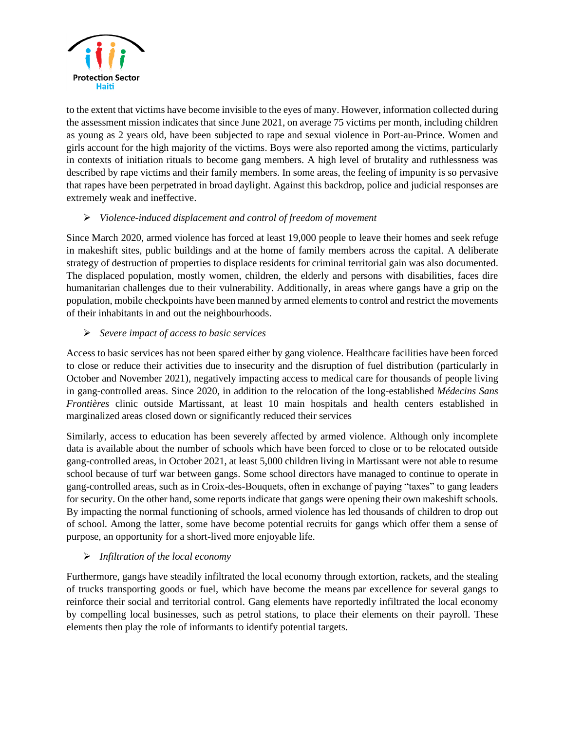

to the extent that victims have become invisible to the eyes of many. However, information collected during the assessment mission indicates that since June 2021, on average 75 victims per month, including children as young as 2 years old, have been subjected to rape and sexual violence in Port-au-Prince. Women and girls account for the high majority of the victims. Boys were also reported among the victims, particularly in contexts of initiation rituals to become gang members. A high level of brutality and ruthlessness was described by rape victims and their family members. In some areas, the feeling of impunity is so pervasive that rapes have been perpetrated in broad daylight. Against this backdrop, police and judicial responses are extremely weak and ineffective.

# ➢ *Violence-induced displacement and control of freedom of movement*

Since March 2020, armed violence has forced at least 19,000 people to leave their homes and seek refuge in makeshift sites, public buildings and at the home of family members across the capital. A deliberate strategy of destruction of properties to displace residents for criminal territorial gain was also documented. The displaced population, mostly women, children, the elderly and persons with disabilities, faces dire humanitarian challenges due to their vulnerability. Additionally, in areas where gangs have a grip on the population, mobile checkpoints have been manned by armed elements to control and restrict the movements of their inhabitants in and out the neighbourhoods.

# ➢ *Severe impact of access to basic services*

Access to basic services has not been spared either by gang violence. Healthcare facilities have been forced to close or reduce their activities due to insecurity and the disruption of fuel distribution (particularly in October and November 2021), negatively impacting access to medical care for thousands of people living in gang-controlled areas. Since 2020, in addition to the relocation of the long-established *Médecins Sans Frontières* clinic outside Martissant, at least 10 main hospitals and health centers established in marginalized areas closed down or significantly reduced their services

Similarly, access to education has been severely affected by armed violence. Although only incomplete data is available about the number of schools which have been forced to close or to be relocated outside gang-controlled areas, in October 2021, at least 5,000 children living in Martissant were not able to resume school because of turf war between gangs. Some school directors have managed to continue to operate in gang-controlled areas, such as in Croix-des-Bouquets, often in exchange of paying "taxes" to gang leaders for security. On the other hand, some reports indicate that gangs were opening their own makeshift schools. By impacting the normal functioning of schools, armed violence has led thousands of children to drop out of school. Among the latter, some have become potential recruits for gangs which offer them a sense of purpose, an opportunity for a short-lived more enjoyable life.

# ➢ *Infiltration of the local economy*

Furthermore, gangs have steadily infiltrated the local economy through extortion, rackets, and the stealing of trucks transporting goods or fuel, which have become the means par excellence for several gangs to reinforce their social and territorial control. Gang elements have reportedly infiltrated the local economy by compelling local businesses, such as petrol stations, to place their elements on their payroll. These elements then play the role of informants to identify potential targets.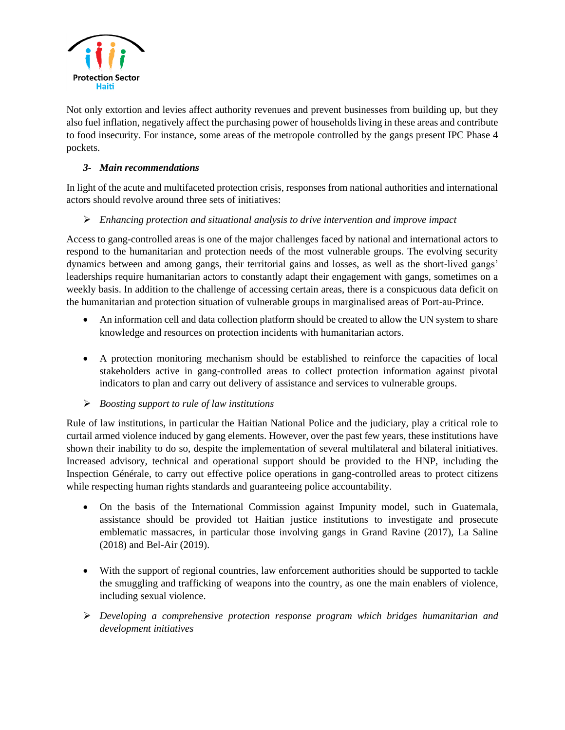

Not only extortion and levies affect authority revenues and prevent businesses from building up, but they also fuel inflation, negatively affect the purchasing power of households living in these areas and contribute to food insecurity. For instance, some areas of the metropole controlled by the gangs present IPC Phase 4 pockets.

# *3- Main recommendations*

In light of the acute and multifaceted protection crisis, responses from national authorities and international actors should revolve around three sets of initiatives:

# ➢ *Enhancing protection and situational analysis to drive intervention and improve impact*

Access to gang-controlled areas is one of the major challenges faced by national and international actors to respond to the humanitarian and protection needs of the most vulnerable groups. The evolving security dynamics between and among gangs, their territorial gains and losses, as well as the short-lived gangs' leaderships require humanitarian actors to constantly adapt their engagement with gangs, sometimes on a weekly basis. In addition to the challenge of accessing certain areas, there is a conspicuous data deficit on the humanitarian and protection situation of vulnerable groups in marginalised areas of Port-au-Prince.

- An information cell and data collection platform should be created to allow the UN system to share knowledge and resources on protection incidents with humanitarian actors.
- A protection monitoring mechanism should be established to reinforce the capacities of local stakeholders active in gang-controlled areas to collect protection information against pivotal indicators to plan and carry out delivery of assistance and services to vulnerable groups.
- ➢ *Boosting support to rule of law institutions*

Rule of law institutions, in particular the Haitian National Police and the judiciary, play a critical role to curtail armed violence induced by gang elements. However, over the past few years, these institutions have shown their inability to do so, despite the implementation of several multilateral and bilateral initiatives. Increased advisory, technical and operational support should be provided to the HNP, including the Inspection Générale, to carry out effective police operations in gang-controlled areas to protect citizens while respecting human rights standards and guaranteeing police accountability.

- On the basis of the International Commission against Impunity model, such in Guatemala, assistance should be provided tot Haitian justice institutions to investigate and prosecute emblematic massacres, in particular those involving gangs in Grand Ravine (2017), La Saline (2018) and Bel-Air (2019).
- With the support of regional countries, law enforcement authorities should be supported to tackle the smuggling and trafficking of weapons into the country, as one the main enablers of violence, including sexual violence.
- ➢ *Developing a comprehensive protection response program which bridges humanitarian and development initiatives*